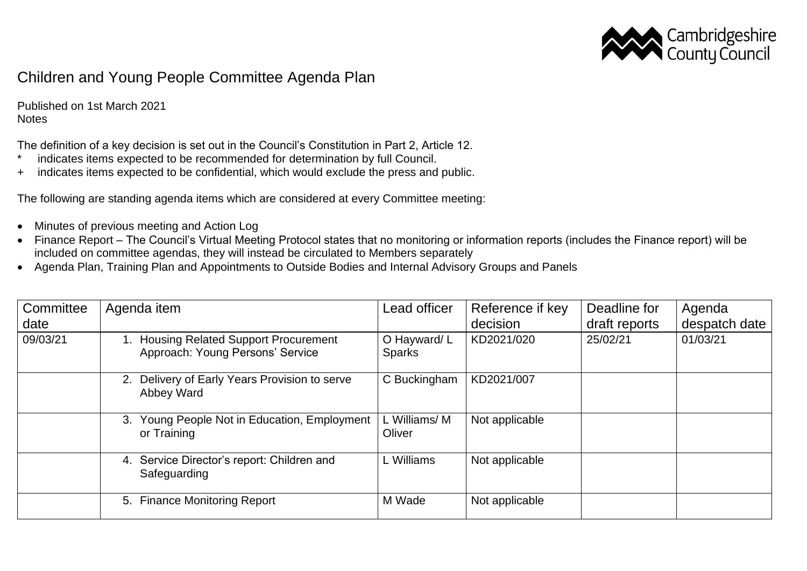

## Children and Young People Committee Agenda Plan

Published on 1st March 2021 **Notes** 

The definition of a key decision is set out in the Council's Constitution in Part 2, Article 12.

- \* indicates items expected to be recommended for determination by full Council.
- + indicates items expected to be confidential, which would exclude the press and public.

The following are standing agenda items which are considered at every Committee meeting:

- Minutes of previous meeting and Action Log
- Finance Report The Council's Virtual Meeting Protocol states that no monitoring or information reports (includes the Finance report) will be included on committee agendas, they will instead be circulated to Members separately
- Agenda Plan, Training Plan and Appointments to Outside Bodies and Internal Advisory Groups and Panels

| Committee<br>date | Agenda item                                                                    | Lead officer                 | Reference if key<br>decision | Deadline for<br>draft reports | Agenda<br>despatch date |
|-------------------|--------------------------------------------------------------------------------|------------------------------|------------------------------|-------------------------------|-------------------------|
| 09/03/21          | <b>Housing Related Support Procurement</b><br>Approach: Young Persons' Service | O Hayward/L<br><b>Sparks</b> | KD2021/020                   | 25/02/21                      | 01/03/21                |
|                   | 2. Delivery of Early Years Provision to serve<br>Abbey Ward                    | C Buckingham                 | KD2021/007                   |                               |                         |
|                   | 3. Young People Not in Education, Employment<br>or Training                    | L Williams/M<br>Oliver       | Not applicable               |                               |                         |
|                   | Service Director's report: Children and<br>4.<br>Safeguarding                  | L Williams                   | Not applicable               |                               |                         |
|                   | 5. Finance Monitoring Report                                                   | M Wade                       | Not applicable               |                               |                         |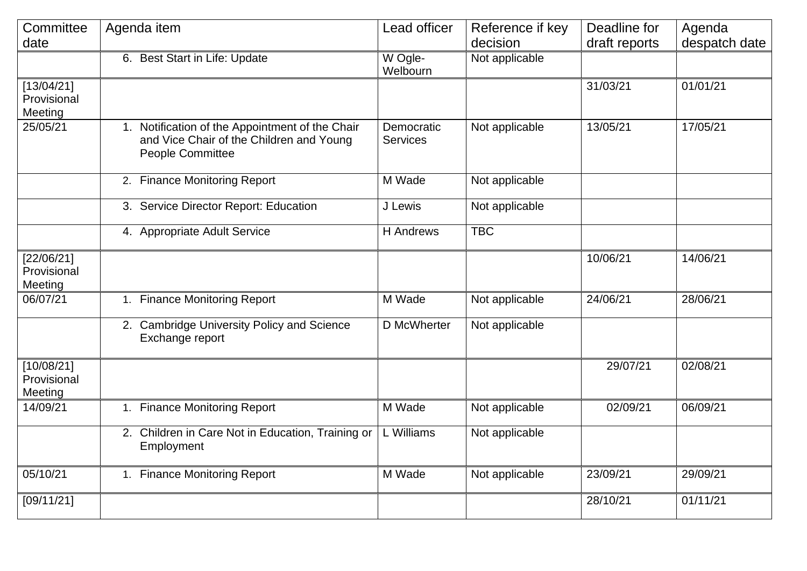| Committee                            | Agenda item                                                                                                     | Lead officer                  | Reference if key | Deadline for          | Agenda        |
|--------------------------------------|-----------------------------------------------------------------------------------------------------------------|-------------------------------|------------------|-----------------------|---------------|
| date                                 |                                                                                                                 |                               | decision         | draft reports         | despatch date |
|                                      | 6. Best Start in Life: Update                                                                                   | W Ogle-<br>Welbourn           | Not applicable   |                       |               |
| [13/04/21]<br>Provisional<br>Meeting |                                                                                                                 |                               |                  | 31/03/21              | 01/01/21      |
| 25/05/21                             | 1. Notification of the Appointment of the Chair<br>and Vice Chair of the Children and Young<br>People Committee | Democratic<br><b>Services</b> | Not applicable   | 13/05/21              | 17/05/21      |
|                                      | 2. Finance Monitoring Report                                                                                    | M Wade                        | Not applicable   |                       |               |
|                                      | 3. Service Director Report: Education                                                                           | J Lewis                       | Not applicable   |                       |               |
|                                      | 4. Appropriate Adult Service                                                                                    | <b>H</b> Andrews              | <b>TBC</b>       |                       |               |
| [22/06/21]<br>Provisional<br>Meeting |                                                                                                                 |                               |                  | $\overline{10/06/21}$ | 14/06/21      |
| 06/07/21                             | 1. Finance Monitoring Report                                                                                    | M Wade                        | Not applicable   | 24/06/21              | 28/06/21      |
|                                      | 2. Cambridge University Policy and Science<br>Exchange report                                                   | D McWherter                   | Not applicable   |                       |               |
| [10/08/21]<br>Provisional<br>Meeting |                                                                                                                 |                               |                  | 29/07/21              | 02/08/21      |
| 14/09/21                             | 1. Finance Monitoring Report                                                                                    | M Wade                        | Not applicable   | 02/09/21              | 06/09/21      |
|                                      | 2. Children in Care Not in Education, Training or<br>Employment                                                 | L Williams                    | Not applicable   |                       |               |
| 05/10/21                             | 1. Finance Monitoring Report                                                                                    | M Wade                        | Not applicable   | 23/09/21              | 29/09/21      |
| [09/11/21]                           |                                                                                                                 |                               |                  | 28/10/21              | 01/11/21      |